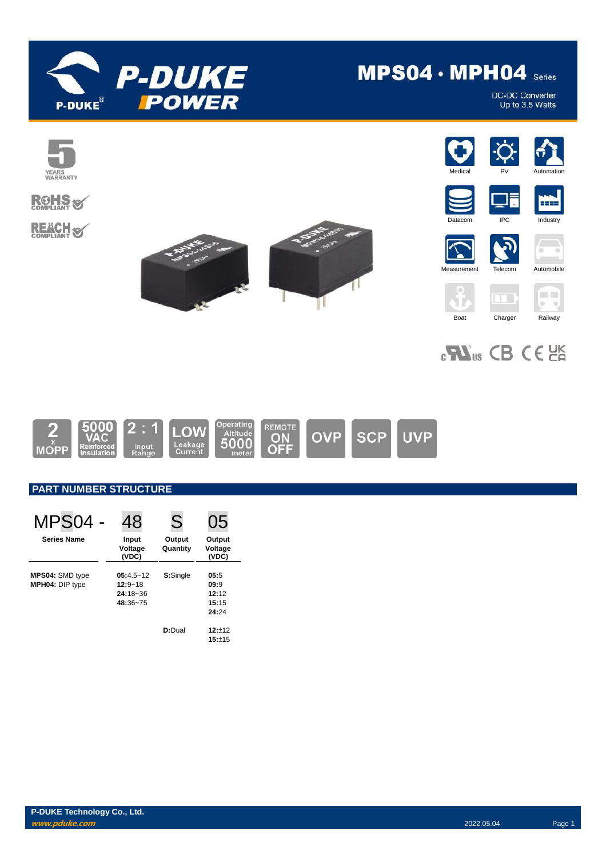

# MPS04 · MPH04 Series

DC-DC Converter<br>Up to 3.5 Watts



## **ROHS REACH S**





















## $_{c}\mathbf{W}_{us}$  CB CE  $_{cm}$



### **PART NUMBER STRUCTURE**

| MPS04                                     | 48                                                       | S                  | 05                                      |
|-------------------------------------------|----------------------------------------------------------|--------------------|-----------------------------------------|
| <b>Series Name</b>                        | Input<br>Voltage<br>(VDC)                                | Output<br>Quantity | Output<br>Voltage<br>(VDC)              |
| MPS04: SMD type<br><b>MPH04: DIP type</b> | $05:4.5 - 12$<br>$12:9 - 18$<br>$24:18 - 36$<br>48:36~75 | S:Single           | 05:5<br>09:9<br>12:12<br>15:15<br>24:24 |
|                                           |                                                          | D:Dual             | $12:+12$<br>15:±15                      |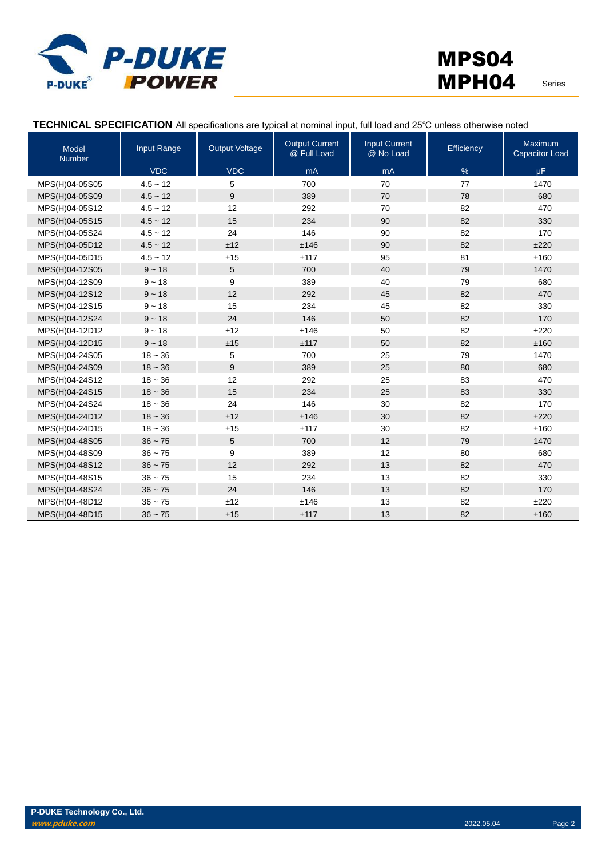

### **TECHNICAL SPECIFICATION** All specifications are typical at nominal input, full load and 25℃ unless otherwise noted

| Model<br><b>Number</b> | Input Range | <b>Output Voltage</b> | <b>Output Current</b><br>@ Full Load | <b>Input Current</b><br>@ No Load | Efficiency | Maximum<br><b>Capacitor Load</b> |
|------------------------|-------------|-----------------------|--------------------------------------|-----------------------------------|------------|----------------------------------|
|                        | <b>VDC</b>  | <b>VDC</b>            | mA                                   | mA                                | $\%$       | $\mu$ F                          |
| MPS(H)04-05S05         | $4.5 - 12$  | 5                     | 700                                  | 70                                | 77         | 1470                             |
| MPS(H)04-05S09         | $4.5 - 12$  | 9                     | 389                                  | 70                                | 78         | 680                              |
| MPS(H)04-05S12         | $4.5 - 12$  | 12                    | 292                                  | 70                                | 82         | 470                              |
| MPS(H)04-05S15         | $4.5 - 12$  | 15                    | 234                                  | 90                                | 82         | 330                              |
| MPS(H)04-05S24         | $4.5 - 12$  | 24                    | 146                                  | 90                                | 82         | 170                              |
| MPS(H)04-05D12         | $4.5 - 12$  | ±12                   | ±146                                 | 90                                | 82         | ±220                             |
| MPS(H)04-05D15         | $4.5 - 12$  | ±15                   | ±117                                 | 95                                | 81         | ±160                             |
| MPS(H)04-12S05         | $9 - 18$    | 5                     | 700                                  | 40                                | 79         | 1470                             |
| MPS(H)04-12S09         | $9 - 18$    | 9                     | 389                                  | 40                                | 79         | 680                              |
| MPS(H)04-12S12         | $9 - 18$    | 12                    | 292                                  | 45                                | 82         | 470                              |
| MPS(H)04-12S15         | $9 - 18$    | 15                    | 234                                  | 45                                | 82         | 330                              |
| MPS(H)04-12S24         | $9 - 18$    | 24                    | 146                                  | 50                                | 82         | 170                              |
| MPS(H)04-12D12         | $9 - 18$    | ±12                   | ±146                                 | 50                                | 82         | ±220                             |
| MPS(H)04-12D15         | $9 - 18$    | ±15                   | ±117                                 | 50                                | 82         | ±160                             |
| MPS(H)04-24S05         | $18 - 36$   | 5                     | 700                                  | 25                                | 79         | 1470                             |
| MPS(H)04-24S09         | $18 - 36$   | 9                     | 389                                  | 25                                | 80         | 680                              |
| MPS(H)04-24S12         | $18 - 36$   | 12                    | 292                                  | 25                                | 83         | 470                              |
| MPS(H)04-24S15         | $18 - 36$   | 15                    | 234                                  | 25                                | 83         | 330                              |
| MPS(H)04-24S24         | $18 - 36$   | 24                    | 146                                  | 30                                | 82         | 170                              |
| MPS(H)04-24D12         | $18 - 36$   | ±12                   | ±146                                 | 30                                | 82         | ±220                             |
| MPS(H)04-24D15         | $18 - 36$   | ±15                   | ±117                                 | 30                                | 82         | ±160                             |
| MPS(H)04-48S05         | $36 - 75$   | 5                     | 700                                  | 12                                | 79         | 1470                             |
| MPS(H)04-48S09         | $36 - 75$   | 9                     | 389                                  | 12                                | 80         | 680                              |
| MPS(H)04-48S12         | $36 - 75$   | 12                    | 292                                  | 13                                | 82         | 470                              |
| MPS(H)04-48S15         | $36 - 75$   | 15                    | 234                                  | 13                                | 82         | 330                              |
| MPS(H)04-48S24         | $36 - 75$   | 24                    | 146                                  | 13                                | 82         | 170                              |
| MPS(H)04-48D12         | $36 - 75$   | ±12                   | ±146                                 | 13                                | 82         | ±220                             |
| MPS(H)04-48D15         | $36 - 75$   | ±15                   | ±117                                 | 13                                | 82         | ±160                             |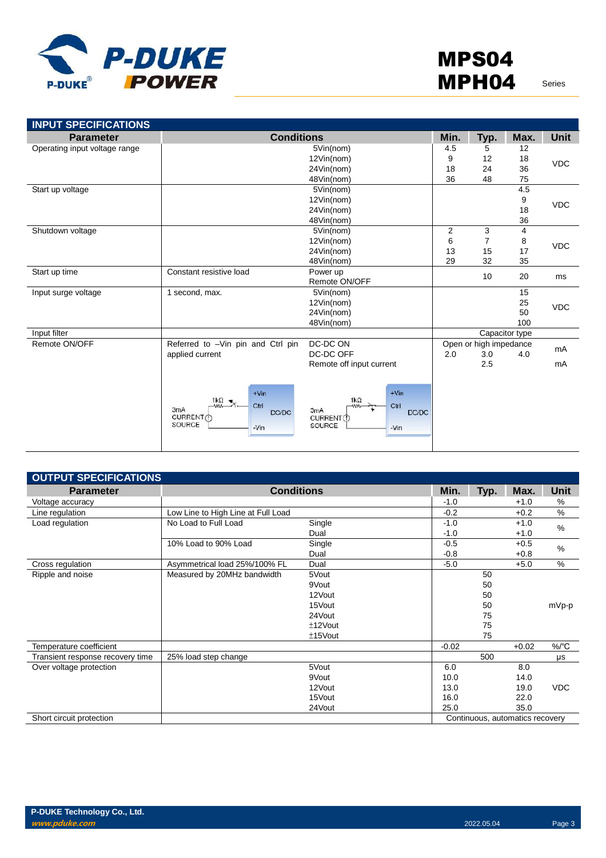

| <b>INPUT SPECIFICATIONS</b>   |                                                                                                   |                                                                                              |      |                        |                |             |
|-------------------------------|---------------------------------------------------------------------------------------------------|----------------------------------------------------------------------------------------------|------|------------------------|----------------|-------------|
| <b>Parameter</b>              | <b>Conditions</b>                                                                                 |                                                                                              | Min. | Typ.                   | Max.           | <b>Unit</b> |
| Operating input voltage range |                                                                                                   | 5Vin(nom)                                                                                    | 4.5  | 5                      | 12             |             |
|                               | 12Vin(nom)                                                                                        |                                                                                              | 9    | 12                     | 18             | <b>VDC</b>  |
|                               |                                                                                                   | 24Vin(nom)                                                                                   | 18   | 24                     | 36             |             |
|                               |                                                                                                   | 48Vin(nom)                                                                                   | 36   | 48                     | 75             |             |
| Start up voltage              |                                                                                                   | 5Vin(nom)                                                                                    |      |                        | 4.5            |             |
|                               |                                                                                                   | 12Vin(nom)                                                                                   |      |                        | 9              | <b>VDC</b>  |
|                               |                                                                                                   | 24Vin(nom)                                                                                   |      |                        | 18             |             |
|                               |                                                                                                   | 48Vin(nom)                                                                                   |      |                        | 36             |             |
| Shutdown voltage              |                                                                                                   | 5Vin(nom)                                                                                    | 2    | 3                      | 4              |             |
|                               |                                                                                                   | 12Vin(nom)                                                                                   | 6    | $\overline{7}$         | 8              | <b>VDC</b>  |
|                               |                                                                                                   | 24Vin(nom)                                                                                   | 13   | 15                     | 17             |             |
|                               |                                                                                                   | 48Vin(nom)                                                                                   | 29   | 32                     | 35             |             |
| Start up time                 | Constant resistive load                                                                           | Power up                                                                                     |      | 10                     | 20             | ms          |
|                               |                                                                                                   | Remote ON/OFF                                                                                |      |                        |                |             |
| Input surge voltage           | 1 second, max.                                                                                    | 5Vin(nom)                                                                                    |      |                        | 15             |             |
|                               |                                                                                                   | 12Vin(nom)                                                                                   |      |                        | 25             | <b>VDC</b>  |
|                               |                                                                                                   | 24Vin(nom)                                                                                   |      |                        | 50             |             |
|                               |                                                                                                   | 48Vin(nom)                                                                                   |      |                        | 100            |             |
| Input filter                  |                                                                                                   |                                                                                              |      |                        | Capacitor type |             |
| Remote ON/OFF                 | Referred to -Vin pin and Ctrl pin                                                                 | DC-DC ON                                                                                     |      | Open or high impedance |                | mA          |
|                               | applied current                                                                                   | DC-DC OFF                                                                                    | 2.0  | 3.0                    | 4.0            |             |
|                               |                                                                                                   | Remote off input current                                                                     |      | 2.5                    |                | mA          |
|                               | $+V$ in<br>$1k\Omega$ $\neq$ .<br>Ctrl<br>-WW-<br>3mA<br>DC/DC<br>CURRENT (f)<br>SOURCE<br>$-Vin$ | $+V$ in<br>$1k\Omega$<br>Ctrl<br><b>MM</b><br>3mA<br>DC/DC<br>CURRENT(1)<br>SOURCE<br>$-Vin$ |      |                        |                |             |

| <b>OUTPUT SPECIFICATIONS</b>     |                                    |            |         |      |                                 |               |
|----------------------------------|------------------------------------|------------|---------|------|---------------------------------|---------------|
| <b>Parameter</b>                 | <b>Conditions</b>                  |            | Min.    | Typ. | Max.                            | Unit          |
| Voltage accuracy                 |                                    |            | $-1.0$  |      | $+1.0$                          | %             |
| Line regulation                  | Low Line to High Line at Full Load |            | $-0.2$  |      | $+0.2$                          | %             |
| Load regulation                  | No Load to Full Load               | Single     | $-1.0$  |      | $+1.0$                          | $\%$          |
|                                  |                                    | Dual       | $-1.0$  |      | $+1.0$                          |               |
|                                  | 10% Load to 90% Load               | Single     | $-0.5$  |      | $+0.5$                          | %             |
|                                  |                                    | Dual       | $-0.8$  |      | $+0.8$                          |               |
| Cross regulation                 | Asymmetrical load 25%/100% FL      | Dual       | $-5.0$  |      | $+5.0$                          | $\frac{0}{0}$ |
| Ripple and noise                 | Measured by 20MHz bandwidth        | 5Vout      |         | 50   |                                 |               |
|                                  |                                    | 9Vout      |         | 50   |                                 |               |
|                                  |                                    | 12Vout     |         | 50   |                                 |               |
|                                  |                                    | 15Vout     |         | 50   |                                 | mVp-p         |
|                                  |                                    | 24Vout     |         | 75   |                                 |               |
|                                  |                                    | $±12$ Vout |         | 75   |                                 |               |
|                                  |                                    | $±15$ Vout |         | 75   |                                 |               |
| Temperature coefficient          |                                    |            | $-0.02$ |      | $+0.02$                         | %/°C          |
| Transient response recovery time | 25% load step change               |            |         | 500  |                                 | μs            |
| Over voltage protection          |                                    | 5Vout      | 6.0     |      | 8.0                             |               |
|                                  |                                    | 9Vout      | 10.0    |      | 14.0                            |               |
|                                  |                                    | 12Vout     | 13.0    |      | 19.0                            | <b>VDC</b>    |
|                                  |                                    | 15Vout     | 16.0    |      | 22.0                            |               |
|                                  |                                    | 24Vout     | 25.0    |      | 35.0                            |               |
| Short circuit protection         |                                    |            |         |      | Continuous, automatics recovery |               |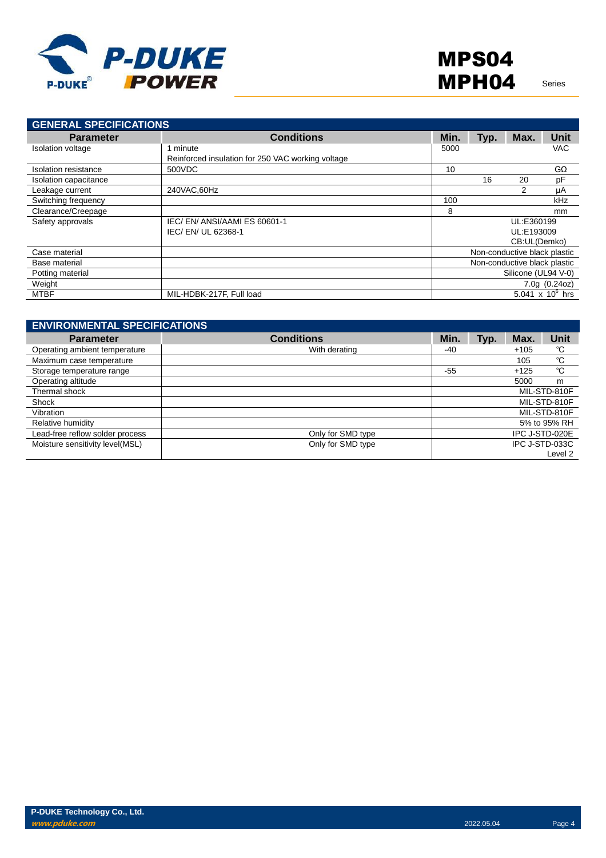

| <b>GENERAL SPECIFICATIONS</b> |                                                   |      |      |                              |                                    |
|-------------------------------|---------------------------------------------------|------|------|------------------------------|------------------------------------|
| <b>Parameter</b>              | <b>Conditions</b>                                 | Min. | Typ. | Max.                         | Unit                               |
| <b>Isolation voltage</b>      | minute                                            | 5000 |      |                              | <b>VAC</b>                         |
|                               | Reinforced insulation for 250 VAC working voltage |      |      |                              |                                    |
| Isolation resistance          | 500VDC                                            | 10   |      |                              | $G\Omega$                          |
| Isolation capacitance         |                                                   |      | 16   | 20                           | pF                                 |
| Leakage current               | 240VAC,60Hz                                       |      |      | 2                            | μA                                 |
| Switching frequency           |                                                   | 100  |      |                              | kHz                                |
| Clearance/Creepage            |                                                   | 8    |      |                              | mm                                 |
| Safety approvals              | IEC/EN/ANSI/AAMIES 60601-1                        |      |      | UL:E360199                   |                                    |
|                               | IEC/EN/UL 62368-1                                 |      |      | UL:E193009                   |                                    |
|                               |                                                   |      |      | CB:UL(Demko)                 |                                    |
| Case material                 |                                                   |      |      | Non-conductive black plastic |                                    |
| Base material                 |                                                   |      |      | Non-conductive black plastic |                                    |
| Potting material              |                                                   |      |      | Silicone (UL94 V-0)          |                                    |
| Weight                        |                                                   |      |      |                              | 7.0g(0.24oz)                       |
| <b>MTBF</b>                   | MIL-HDBK-217F, Full load                          |      |      |                              | 5.041 $\times$ 10 <sup>6</sup> hrs |

| <b>ENVIRONMENTAL SPECIFICATIONS</b> |                   |              |      |                |                |
|-------------------------------------|-------------------|--------------|------|----------------|----------------|
| <b>Parameter</b>                    | <b>Conditions</b> | Min.         | Typ. | Max.           | <b>Unit</b>    |
| Operating ambient temperature       | With derating     | -40          |      | $+105$         | °C             |
| Maximum case temperature            |                   |              |      | 105            | °C             |
| Storage temperature range           |                   | $-55$        |      | $+125$         | °C             |
| Operating altitude                  |                   |              |      | 5000           | m              |
| Thermal shock                       |                   | MIL-STD-810F |      |                |                |
| Shock                               |                   | MIL-STD-810F |      |                |                |
| Vibration                           |                   |              |      |                | MIL-STD-810F   |
| Relative humidity                   |                   |              |      |                | 5% to 95% RH   |
| Lead-free reflow solder process     | Only for SMD type |              |      | IPC J-STD-020E |                |
| Moisture sensitivity level(MSL)     | Only for SMD type |              |      |                | IPC J-STD-033C |
|                                     |                   |              |      |                | Level 2        |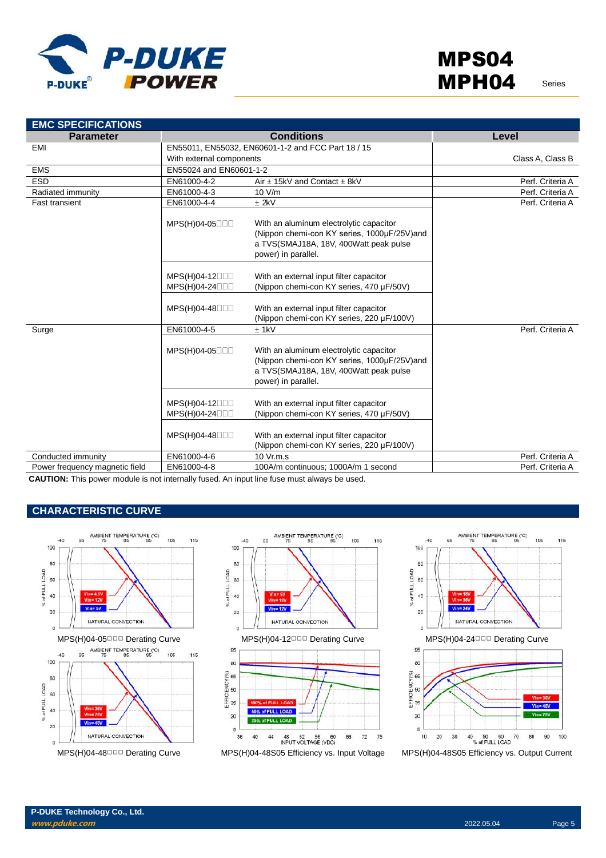

| <b>Parameter</b>               |                                  | <b>Conditions</b>                                                                                                                                       | Level            |
|--------------------------------|----------------------------------|---------------------------------------------------------------------------------------------------------------------------------------------------------|------------------|
| <b>EMI</b>                     |                                  | EN55011, EN55032, EN60601-1-2 and FCC Part 18 / 15                                                                                                      |                  |
|                                | With external components         |                                                                                                                                                         | Class A, Class B |
| <b>EMS</b>                     | EN55024 and EN60601-1-2          |                                                                                                                                                         |                  |
| <b>ESD</b>                     | EN61000-4-2                      | Air $\pm$ 15kV and Contact $\pm$ 8kV                                                                                                                    | Perf. Criteria A |
| Radiated immunity              | EN61000-4-3                      | 10 V/m                                                                                                                                                  | Perf. Criteria A |
| <b>Fast transient</b>          | EN61000-4-4                      | $±$ 2kV                                                                                                                                                 | Perf. Criteria A |
|                                | MPS(H)04-05                      | With an aluminum electrolytic capacitor<br>(Nippon chemi-con KY series, 1000µF/25V)and<br>a TVS(SMAJ18A, 18V, 400Watt peak pulse<br>power) in parallel. |                  |
|                                | MPS(H)04-12000<br>MPS(H)04-24000 | With an external input filter capacitor<br>(Nippon chemi-con KY series, 470 µF/50V)                                                                     |                  |
|                                | MPS(H)04-48□□□                   | With an external input filter capacitor<br>(Nippon chemi-con KY series, 220 µF/100V)                                                                    |                  |
| Surge                          | EN61000-4-5                      | $±$ 1kV                                                                                                                                                 | Perf. Criteria A |
|                                | MPS(H)04-05                      | With an aluminum electrolytic capacitor<br>(Nippon chemi-con KY series, 1000µF/25V)and<br>a TVS(SMAJ18A, 18V, 400Watt peak pulse<br>power) in parallel. |                  |
|                                | MPS(H)04-12000<br>MPS(H)04-24000 | With an external input filter capacitor<br>(Nippon chemi-con KY series, 470 µF/50V)                                                                     |                  |
|                                | MPS(H)04-48000                   | With an external input filter capacitor<br>(Nippon chemi-con KY series, 220 µF/100V)                                                                    |                  |
| Conducted immunity             | EN61000-4-6                      | 10 Vr.m.s                                                                                                                                               | Perf. Criteria A |
| Power frequency magnetic field | EN61000-4-8                      | 100A/m continuous; 1000A/m 1 second                                                                                                                     | Perf. Criteria A |

**CAUTION:** This power module is not internally fused. An input line fuse must always be used.

### **CHARACTERISTIC CURVE**







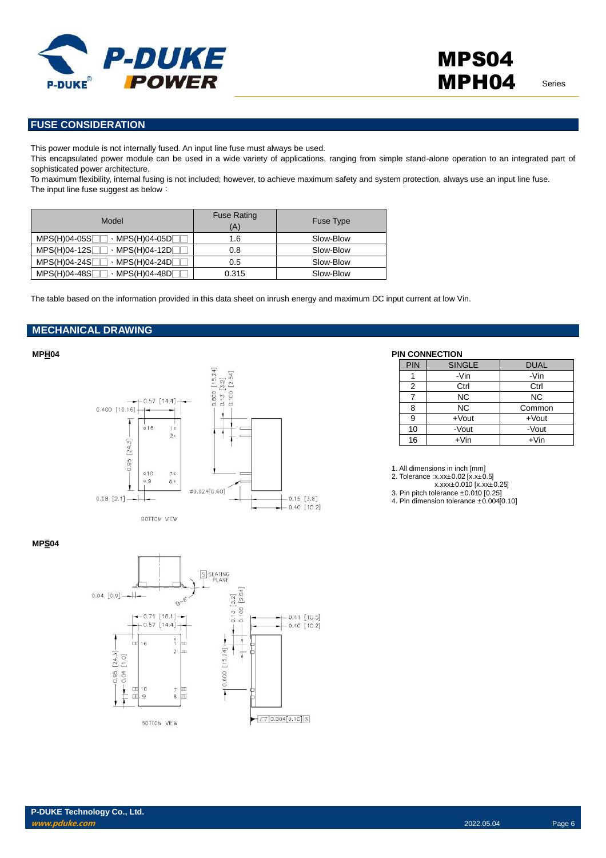

### **FUSE CONSIDERATION**

This power module is not internally fused. An input line fuse must always be used.

This encapsulated power module can be used in a wide variety of applications, ranging from simple stand-alone operation to an integrated part of sophisticated power architecture.

To maximum flexibility, internal fusing is not included; however, to achieve maximum safety and system protection, always use an input line fuse. The input line fuse suggest as below:

| Model                                         | <b>Fuse Rating</b><br>(A) | Fuse Type |
|-----------------------------------------------|---------------------------|-----------|
| $MPS(H)04-05S$<br>$\cdot$ MPS(H)04-05D $\Box$ | 1.6                       | Slow-Blow |
| $MPS(H)04-12S$<br>$\cdot$ MPS(H)04-12D $\Box$ | 0.8                       | Slow-Blow |
| $MPS(H)04-24S$<br>$\cdot$ MPS(H)04-24D $\Box$ | 0.5                       | Slow-Blow |
| $MPS(H)04-48S$<br>$\cdot$ MPS(H)04-48D $\Box$ | 0.315                     | Slow-Blow |

The table based on the information provided in this data sheet on inrush energy and maximum DC input current at low Vin.

### **MECHANICAL DRAWING**



| <b>PIN</b> | <b>SINGLE</b> | <b>DUAL</b> |
|------------|---------------|-------------|
|            | -Vin          | -Vin        |
| 2          | Ctrl          | Ctrl        |
|            | <b>NC</b>     | <b>NC</b>   |
| 8          | <b>NC</b>     | Common      |
| 9          | $+$ Vout      | $+$ Vout    |
| 10         | -Vout         | -Vout       |
| 16         | $+V$ in       | $+V$ in     |

1. All dimensions in inch [mm]

2. Tolerance :x.xx±0.02 [x.x±0.5]

x.xxx±0.010 [x.xx±0.25]

3. Pin pitch tolerance ±0.010 [0.25] 4. Pin dimension tolerance ±0.004[0.10]

### **MPS04**